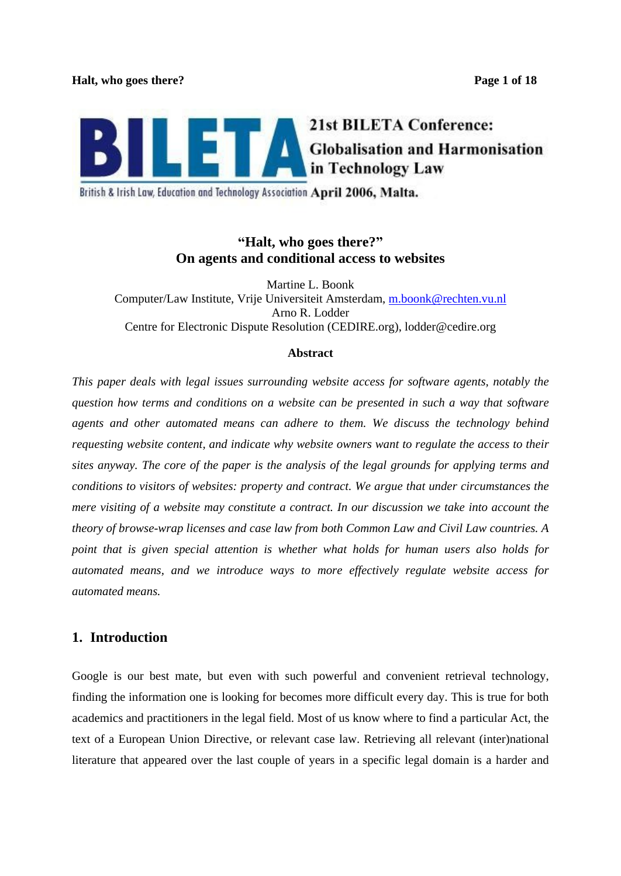

British & Irish Law, Education and Technology Association April 2006, Malta.

# **Halt, who goes there? On agents and conditional access to websites**

Martine L. Boonk Computer/Law Institute, Vrije Universiteit Amsterdam, m.boonk@rechten.vu.nl Arno R. Lodder Centre for Electronic Dispute Resolution (CEDIRE.org), lodder@cedire.org

## **Abstract**

*This paper deals with legal issues surrounding website access for software agents, notably the question how terms and conditions on a website can be presented in such a way that software agents and other automated means can adhere to them. We discuss the technology behind requesting website content, and indicate why website owners want to regulate the access to their sites anyway. The core of the paper is the analysis of the legal grounds for applying terms and conditions to visitors of websites: property and contract. We argue that under circumstances the mere visiting of a website may constitute a contract. In our discussion we take into account the theory of browse-wrap licenses and case law from both Common Law and Civil Law countries. A point that is given special attention is whether what holds for human users also holds for automated means, and we introduce ways to more ef ectively regulate website access for automated means.*

# **1. Introduction**

Google is our best mate, but even with such powerful and convenient retrieval technology, finding the information one is looking for becomes more difficult every day. This is true for both academics and practitioners in the legal field. Most of us know where to find a particular Act, the text of a European Union Directive, or relevant case law. Retrieving all relevant (inter)national literature that appeared over the last couple of years in a specific legal domain is a harder and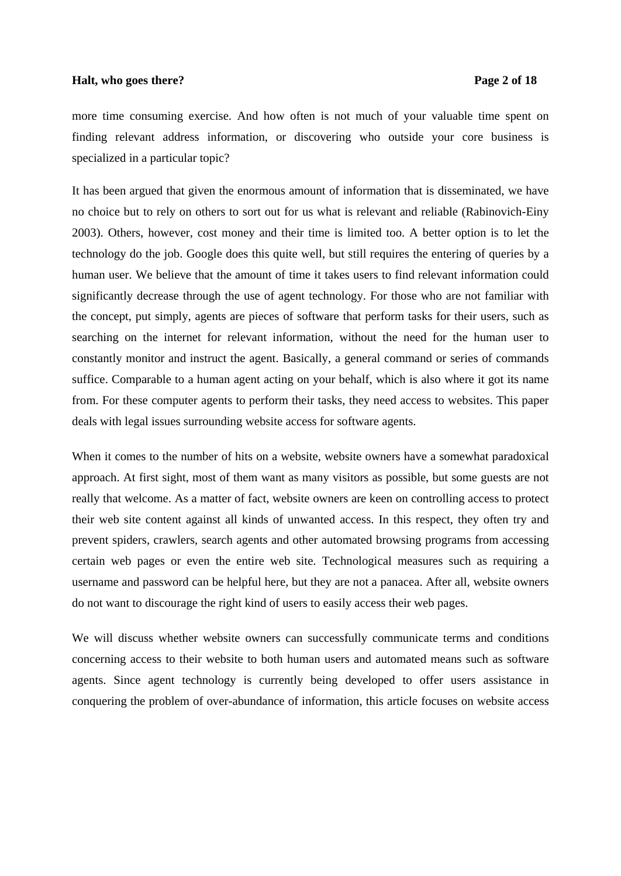## **Halt, who goes there?** Page 2 of 18

more time consuming exercise. And how often is not much of your valuable time spent on finding relevant address information, or discovering who outside your core business is specialized in a particular topic?

It has been argued that given the enormous amount of information that is disseminated, we have no choice but to rely on others to sort out for us what is relevant and reliable (Rabinovich-Einy 2003). Others, however, cost money and their time is limited too. A better option is to let the technology do the job. Google does this quite well, but still requires the entering of queries by a human user. We believe that the amount of time it takes users to find relevant information could significantly decrease through the use of agent technology. For those who are not familiar with the concept, put simply, agents are pieces of software that perform tasks for their users, such as searching on the internet for relevant information, without the need for the human user to constantly monitor and instruct the agent. Basically, a general command or series of commands suffice. Comparable to a human agent acting on your behalf, which is also where it got its name from. For these computer agents to perform their tasks, they need access to websites. This paper deals with legal issues surrounding website access for software agents.

When it comes to the number of hits on a website, website owners have a somewhat paradoxical approach. At first sight, most of them want as many visitors as possible, but some guests are not really that welcome. As a matter of fact, website owners are keen on controlling access to protect their web site content against all kinds of unwanted access. In this respect, they often try and prevent spiders, crawlers, search agents and other automated browsing programs from accessing certain web pages or even the entire web site. Technological measures such as requiring a username and password can be helpful here, but they are not a panacea. After all, website owners do not want to discourage the right kind of users to easily access their web pages.

We will discuss whether website owners can successfully communicate terms and conditions concerning access to their website to both human users and automated means such as software agents. Since agent technology is currently being developed to offer users assistance in conquering the problem of over-abundance of information, this article focuses on website access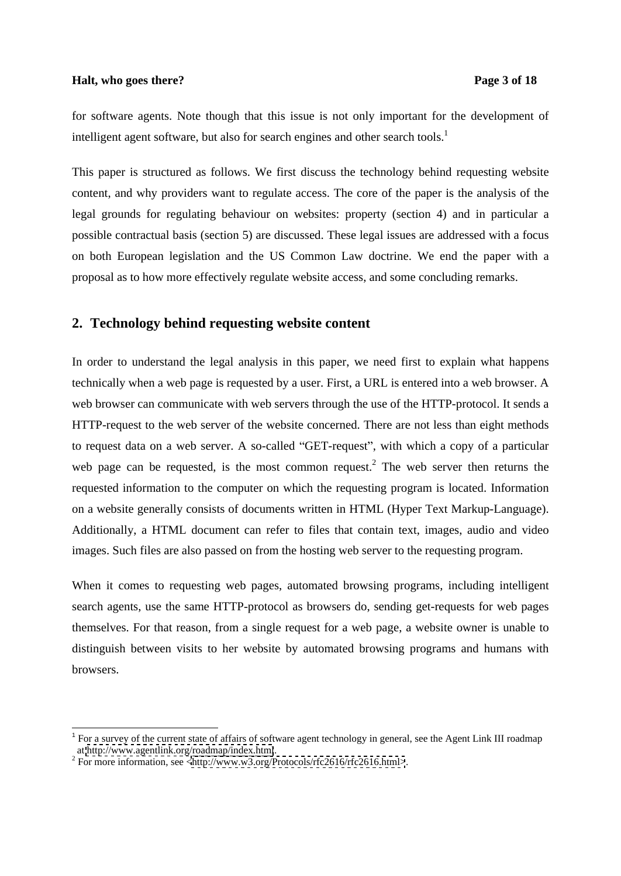## **Halt, who goes there?** Page 3 of 18

for software agents. Note though that this issue is not only important forthe development of intelligent agent software, but also for search engines and other search tools. $<sup>1</sup>$ </sup>

This paper is structured as follows. We first discuss the technology behind requesting website content, and why providers want to regulate access. The core of the paper is the analysis of the legal grounds for regulating behaviour on websites: property (section 4) and in particular a possible contractual basis (section 5) are discussed. These legal issues are addressed with a focus on both European legislation and the US Common Law doctrine. We end the paper with a proposal as to how more effectively regulate website access, and some concluding remarks.

# **2. Technology behind requesting website content**

In order to understand the legal analysis in this paper, we need first to explain what happens technically when a web page is requested by a user. First, a URL is entered into a web browser. A web browser can communicate with web servers through the use of the HTTP-protocol. It sends a HTTP-request to the web server of the website concerned. There are not less than eight methods to request data on a web server. A so-called "GET-request", with which a copy of a particular web page can be requested, is the most common request.<sup>2</sup> The web server then returns the requested information to the computer on which the requesting program is located. Information on a website generally consists of documents written in HTML (Hyper Text Markup-Language). Additionally, a HTML document can refer to files that contain text, images, audio and video images. Such files are also passed on from the hosting web server to the requesting program.

When it comes to requesting web pages, automated browsing programs, including intelligent search agents, use the same HTTP-protocol as browsers do, sending get-requests for web pages themselves. For that reason, from a single request for a web page, a website owner is unable to distinguish between visits to her website by automated browsing programs and humans with browsers.

<sup>&</sup>lt;sup>1</sup> For a survey of the current state of affairs of software agent technology in general, see the Agent Link III roadmap at <http://www.agentlink.org/roadmap/index.html>.<br><sup>2</sup> For more information, see [<http://www.w3.org/Protocols/rfc2616/rfc2616.html>](http://www.w3.org/Protocols/rfc2616/rfc2616.html>).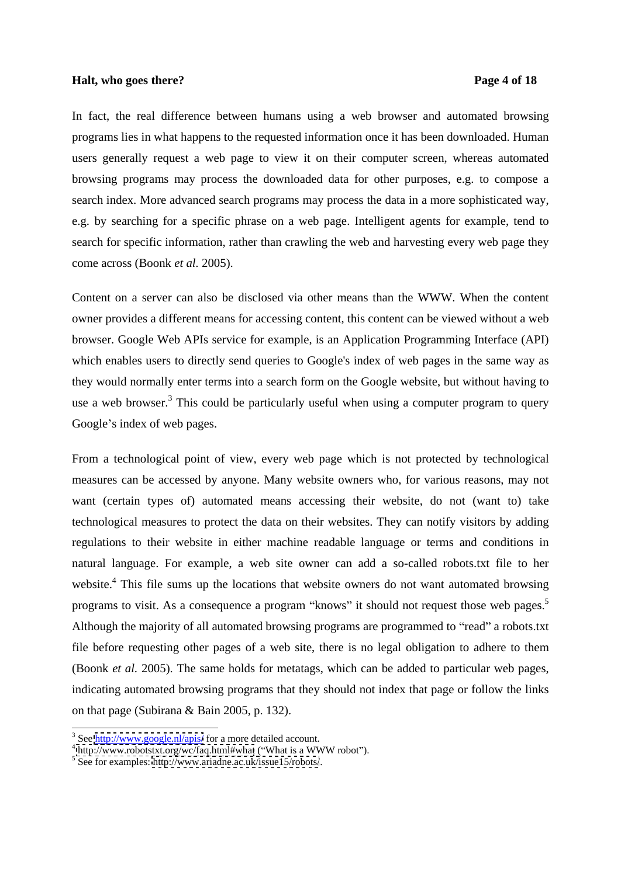## **Halt, who goes there?** Page 4 of 18

In fact, the real difference between humans using a web browser and automated browsing programs lies in what happens to the requested information once it has been downloaded. Human users generally request a web page to view it on their computer screen, whereas automated browsing programs may process the downloaded data for other purposes, e.g. to compose a search index. More advanced search programs may process the data in a more sophisticated way, e.g. by searching for a specific phrase on a web page. Intelligent agents for example, tend to search for specific information, rather than crawling the web and harvesting every web page they come across (Boonk *et al.* 2005).

Content on a server can also be disclosed via other means than the WWW. When the content owner provides a different means for accessing content, this content can be viewed without a web browser. Google Web APIs service for example, is an Application Programming Interface (API) which enables users to directly send queries to Google's index of web pages in the same way as they would normally enter terms into a search form on the Google website, but without having to use a web browser.<sup>3</sup> This could be particularly useful when using a computer program to query Google's index of web pages.

From a technological point of view, every web page which is not protected by technological measures can be accessed by anyone. Many website owners who, for various reasons, may not want (certain types of) automated means accessing their website, do not (want to) take technological measures to protect the data on their websites. They can notify visitors by adding regulations to their website in either machine readable language or terms and conditions in natural language. For example, a web site owner can add a so-called robots.txt file to her website.<sup>4</sup> This file sums up the locations that website owners do not want automated browsing programs to visit. As a consequence a program "knows" it should not request those web pages.<sup>5</sup> Although the majority of all automated browsing programs are programmed to "read" a robots.txt file before requesting other pages of a web site, there is no legal obligation to adhere to them (Boonk *et al.* 2005). The same holds for metatags, which can be added to particular web pages, indicating automated browsing programs that they should not index that page or follow the links on that page (Subirana & Bain 2005, p. 132).<br> $\frac{3}{3}$ See http://www.coorle.pl/apie/for a more detailed assesunt.

<sup>&</sup>lt;sup>3</sup> See  $\frac{http://www.google.nl/apis/}{http://www.google.nl/apis/}$  for a more detailed account.<br><sup>4</sup> http://www.robotstxt.org/wc/faq.html#what ("What is a WWW robot"). <sup>4</sup> <http://www.robotstxt.org/wc/faq.html#what> ("What is a WWW robot").<br><sup>5</sup> See for examples: http://www.eriodne.ee.uk/jesue15/robote/

 $5$  See for examples:<http://www.ariadne.ac.uk/issue15/robots/>.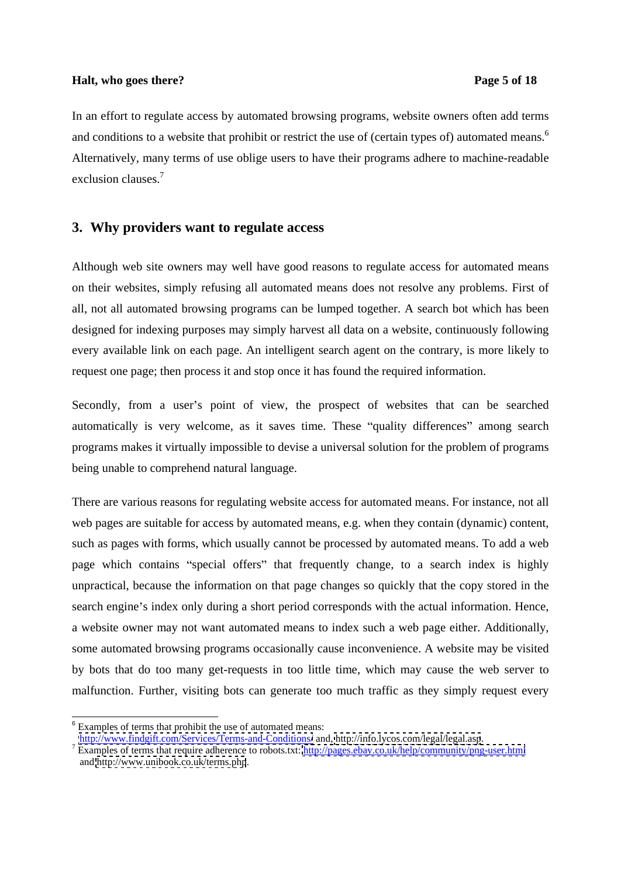## **Halt, who goes there?** Page 5 of 18

In an effort to regulate access by automated browsing programs, website owners often add terms and conditions to a website that prohibit or restrict the use of (certain types of) automated means.<sup>6</sup> Alternatively, many terms of use oblige users to have their programs adhere to machine-readable exclusion clauses.<sup>7</sup>

## **3. Why providers want to regulate access**

Although web site owners may well have good reasons to regulate access for automated means on their websites, simply refusing all automated means does not resolve any problems. First of all, not all automated browsing programs can be lumped together. A search bot which has been designed for indexing purposes may simply harvest all data on a website, continuously following every available link on each page. An intelligent search agent on the contrary, is more likely to request one page; then process it and stop once it has found the required information.

Secondly, from a user's point of view, the prospect of websites that can be searched automatically is very welcome, as it saves time. These "quality differences" among search programs makes it virtually impossible to devise a universal solution for the problem of programs being unable to comprehend natural language.

There are various reasons for regulating website access for automated means. For instance, not all web pages are suitable for access by automated means, e.g. when they contain (dynamic) content, such as pages with forms, which usually cannot be processed by automated means. To add a web page which contains "special offers" that frequently change, to a search index is highly unpractical, because the information on that page changes so quickly that the copy stored in the search engine's index only during a short period corresponds with the actual information. Hence, a website owner may not want automated means to index such a web page either. Additionally, some automated browsing programs occasionally cause inconvenience. A website may be visited by bots that do too many get-requests in too little time, which may cause the web server to malfunction. Further, visiting bots can generate too much traffic as they simply request every

<sup>&</sup>lt;sup>6</sup> Examples of terms that prohibit the use of automated means:

<http://www.findgift.com/Services/Terms-and-Conditions/> and,<http://info.lycos.com/legal/legal.asp>. <sup>7</sup>

Examples of terms that require adherence to robots.txt:<http://pages.ebay.co.uk/help/community/png-user.html> and<http://www.unibook.co.uk/terms.php>.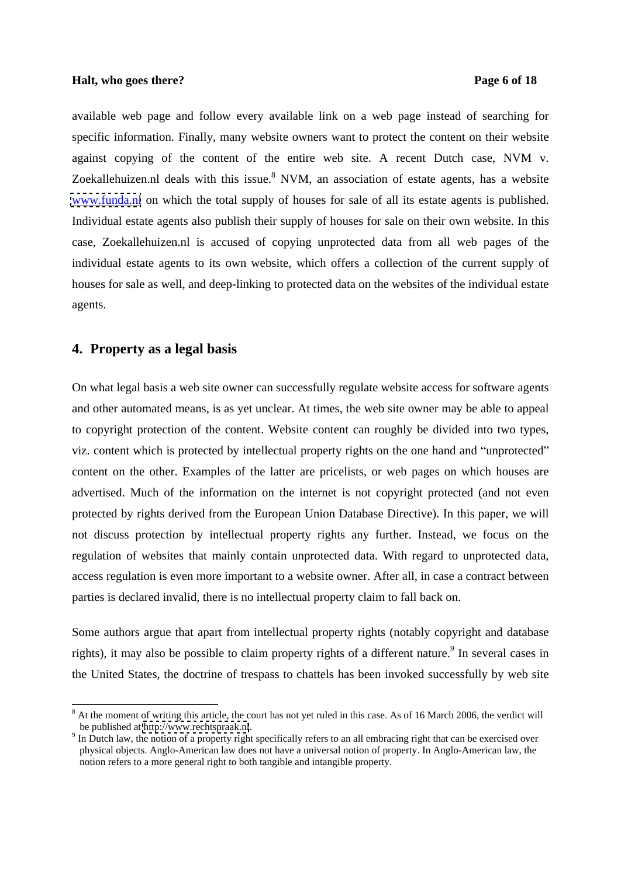## **Halt, who goes there?** Page 6 of 18

available web page and follow every available link on a web page instead of searching for specific information. Finally, many website owners want to protect the content on their website against copying of the content of the entire web site. A recent Dutch case, NVM v. Zoekallehuizen.nl deals with this issue. $8$  NVM, an association of estate agents, has a website [www.funda.nl](http://www.funda.nl) on which the total supply of houses for sale of all its estate agents is published. Individual estate agents also publish their supply of houses for sale on their own website. In this case, Zoekallehuizen.nl is accused of copying unprotected data from all web pages of the individual estate agents to its own website, which offers a collection of the current supply of houses for sale as well, and deep-linking to protected data on the websites of the individual estate agents.

## **4. Property as a legal basis**

On what legal basis a web site owner can successfully regulate website access for software agents and other automated means, is as yet unclear. At times, the web site owner may be able to appeal to copyright protection of the content. Website content can roughly be divided into two types, viz. content which is protected by intellectual property rights on the one hand and "unprotected" content on the other. Examples of the latter are pricelists, or web pages on which houses are advertised. Much of the information on the internet is not copyright protected (and not even protected by rights derived from the European Union Database Directive). In this paper, we will not discuss protection by intellectual property rights any further. Instead, we focus on the regulation of websites that mainly contain unprotected data. With regard to unprotected data, access regulation is even more important to a website owner. After all, in case a contract between parties is declared invalid, there is no intellectual property claim to fall back on.

Some authors argue that apart from intellectual property rights (notably copyright and database rights), it may also be possible to claim property rights of a different nature.*<sup>9</sup>* In several cases in the United States, the doctrine of trespass to chattels has been invoked successfully by web site

<sup>&</sup>lt;sup>8</sup> At the moment of writing this article, the court has not yet ruled in this case. As of 16 March 2006, the verdict will be published at<http://www.rechtspraak.nl>.<br><sup>9</sup> In Dutch law, the notion of a property right specifically refers to an all embracing right that can be exercised over

physical objects. Anglo-American law does not have a universal notion of property. In Anglo-American law, the notion refers to a more general right to both tangible and intangible property.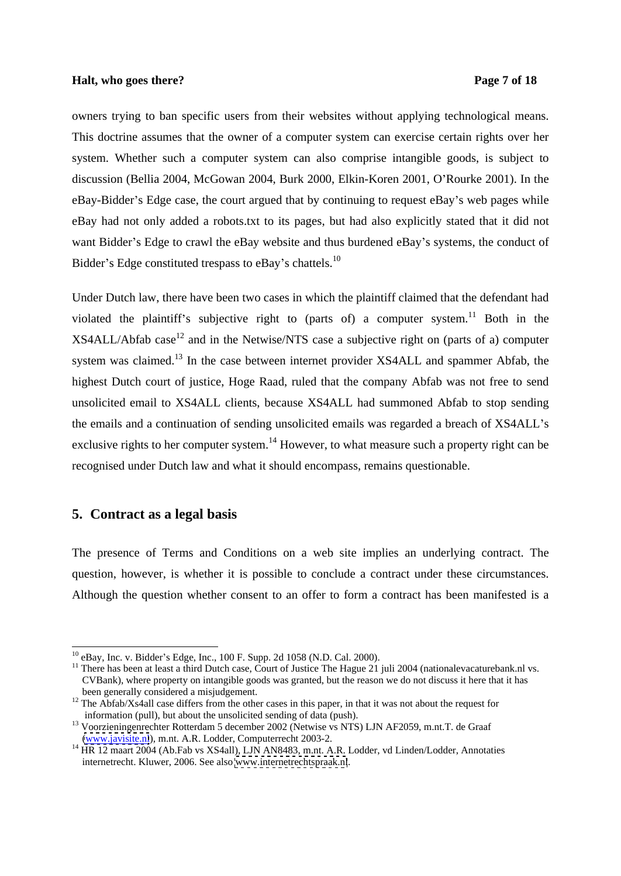## **Halt, who goes there?** Page 7 of 18

owners trying to ban specific users from their websites without applying technological means. This doctrine assumes that the owner of a computer system can exercise certain rights over her system. Whether such a computer system can also comprise intangible goods, is subject to discussion (Bellia 2004, McGowan 2004, Burk 2000, Elkin-Koren 2001, O Rourke 2001). In the eBay-Bidder's Edge case, the court argued that by continuing to request eBay's web pages while eBay had not only added a robots.txt to its pages, but had also explicitly stated that it did not want Bidder's Edge to crawl the eBay website and thus burdened eBay's systems, the conduct of Bidder's Edge constituted trespass to eBay's chattels.<sup>10</sup>

Under Dutch law, there have been two cases in which the plaintiff claimed that the defendant had violated the plaintiff's subjective right to (parts of) a computer system.<sup>11</sup> Both in the  $XSAALL/Abfab case<sup>12</sup>$  and in the Netwise/NTS case a subjective right on (parts of a) computer system was claimed.<sup>13</sup> In the case between internet provider XS4ALL and spammer Abfab, the highest Dutch court of justice, Hoge Raad, ruled that the company Abfab was not free to send unsolicited email to XS4ALL clients, because XS4ALL had summoned Abfab to stop sending the emails and a continuation of sending unsolicited emails was regarded a breach of XS4ALL's exclusive rights to her computer system.<sup>14</sup> However, to what measure such a property right can be recognised under Dutch law and what it should encompass, remains questionable.

## **5. Contract as a legal basis**

The presence of Terms and Conditions on a web site implies an underlying contract. The question, however, is whether it is possible to conclude a contract under these circumstances. Although the question whether consent to an offer to form a contract has been manifested is a

<sup>&</sup>lt;sup>10</sup> eBay, Inc. v. Bidder's Edge, Inc., 100 F. Supp. 2d 1058 (N.D. Cal. 2000).<br><sup>11</sup> There has been at least a third Dutch case, Court of Justice The Hague 21 juli 2004 (nationalevacaturebank.nl vs. CVBank), where property on intangible goods was granted, but the reason we do not discuss it here that it has been generally considered a misjudgement.<br><sup>12</sup> The Abfab/Xs4all case differs from the other cases in this paper, in that it was not about the request for

information (pull), but about the unsolicited sending of data (push).<br>
<sup>13</sup> Voorzieningenrechter Rotterdam 5 december 2002 (Netwise vs NTS) LJN AF2059, m.nt.T. de Graaf (www.javisite.nl), m.nt. A.R. Lodder, Computerrecht 2

<sup>&</sup>lt;sup>14</sup> HR 12 maart 2004 (Ab.Fab vs XS4all), LJN AN8483, m.nt. A.R. Lodder, vd Linden/Lodder, Annotaties internetrecht. Kluwer, 2006. See also [www.internetrechtspraak.nl](http://www.internetrechtspraak.nl).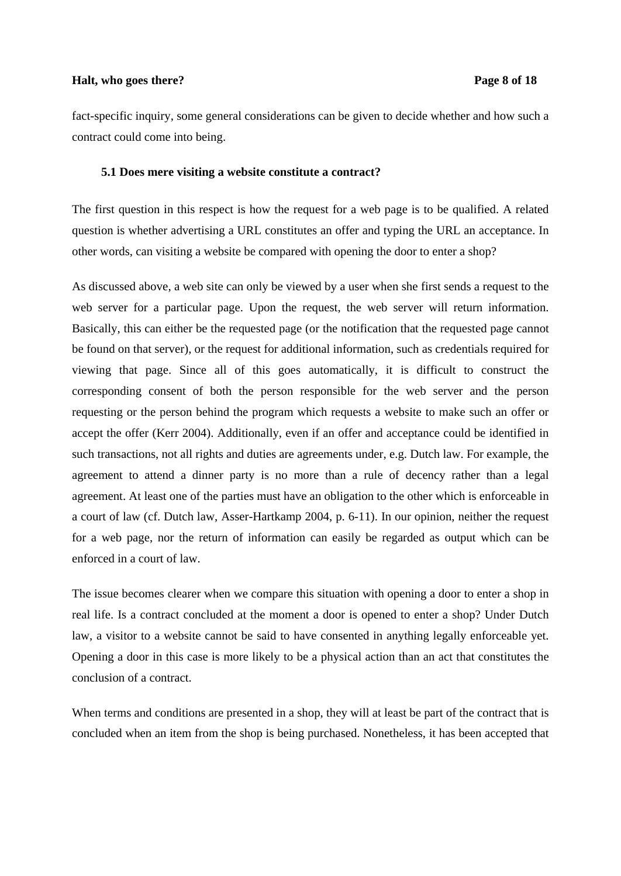## **Halt, who goes there?** Page 8 of 18

fact-specific inquiry, some general considerations can be given to decide whether and how such a contract could come into being.

#### **5.1 Does mere visiting a website constitute a contract?**

The first question in this respect is how the request for a web page is to be qualified. A related question is whether advertising a URL constitutes an offer and typing the URL an acceptance. In other words, can visiting a website be compared with opening the door to enter a shop?

As discussed above, a web site can only be viewed by a user when she first sends a request to the web server for a particular page. Upon the request, the web server will return information. Basically, this can either be the requested page (or the notification that the requested page cannot be found on that server), or the request for additional information, such as credentials required for viewing that page. Since all of this goes automatically, it is difficult to construct the corresponding consent of both the person responsible for the web server and the person requesting or the person behind the program which requests a website to make such an offer or accept the offer (Kerr 2004). Additionally, even if an offer and acceptance could be identified in such transactions, not all rights and duties are agreements under, e.g. Dutch law. For example, the agreement to attend a dinner party is no more than a rule of decency rather than a legal agreement. At least one of the parties must have an obligation to the other which is enforceable in a court of law (cf. Dutch law, Asser-Hartkamp 2004, p. 6-11). In our opinion, neither the request for a web page, nor the return of information can easily be regarded as output which can be enforced in a court of law.

The issue becomes clearer when we compare this situation with opening a door to enter a shop in real life. Is a contract concluded at the moment a door is opened to enter a shop? Under Dutch law, a visitor to a website cannot be said to have consented in anything legally enforceable yet. Opening a door in this case is more likely to be a physical action than an act that constitutes the conclusion of a contract.

When terms and conditions are presented in a shop, they will at least be part of the contract that is concluded when an item from the shop is being purchased. Nonetheless, it has been accepted that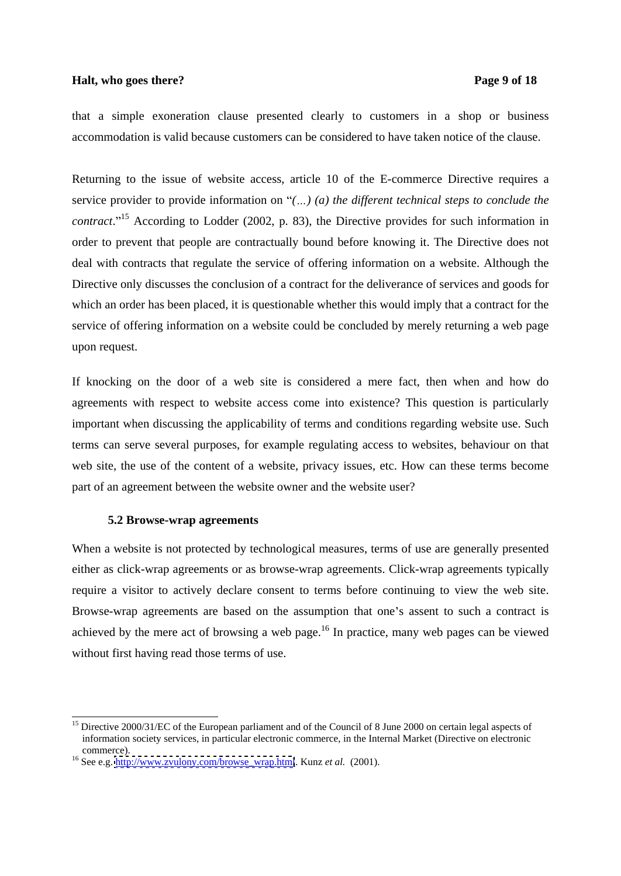## **Halt, who goes there?** Page 9 of 18

that a simple exoneration clause presented clearly to customers in a shop or business accommodation is valid because customers can be considered to have taken notice of the clause.

Returning to the issue of website access, article 10 of the E-commerce Directive requires a service provider to provide information on "(...) (a) the different *technical steps* to *conclude* the *contract*.<sup>"15</sup> According to Lodder (2002, p. 83), the Directive provides for such information in order to prevent that people are contractually bound before knowing it. The Directive does not deal with contracts that regulate the service of offering information on a website. Although the Directive only discusses the conclusion of a contract for the deliverance of services and goods for which an order has been placed, it is questionable whether this would imply that a contract for the service of offering information on a website could be concluded by merely returning a web page upon request.

If knocking on the door of a web site is considered a mere fact, then when and how do agreements with respect to website access come into existence? This question is particularly important when discussing the applicability of terms and conditions regarding website use. Such terms can serve several purposes, for example regulating access to websites, behaviour on that web site, the use of the content of a website, privacy issues, etc. How can these terms become part of an agreement between the website owner and the website user?

#### **5.2 Browse-wrap agreements**

When a website is not protected by technological measures, terms of use are generally presented either as click-wrap agreements or as browse-wrap agreements. Click-wrap agreements typically require a visitor to actively declare consent to terms before continuing to view the web site. Browse-wrap agreements are based on the assumption that one's assent to such a contract is achieved by the mere act of browsing a web page.<sup>16</sup> In practice, many web pages can be viewed without first having read those terms of use.

<sup>&</sup>lt;sup>15</sup> Directive 2000/31/EC of the European parliament and of the Council of 8 June 2000 on certain legal aspects of information society services, in particular electronic commerce, in the Internal Market (Directive on electronic commerce).<br><sup>16</sup> See e.g. [http://www.zvulony.com/browse\\_wrap.html](http://www.zvulony.com/browse_wrap.html). Kunz *et al.* (2001).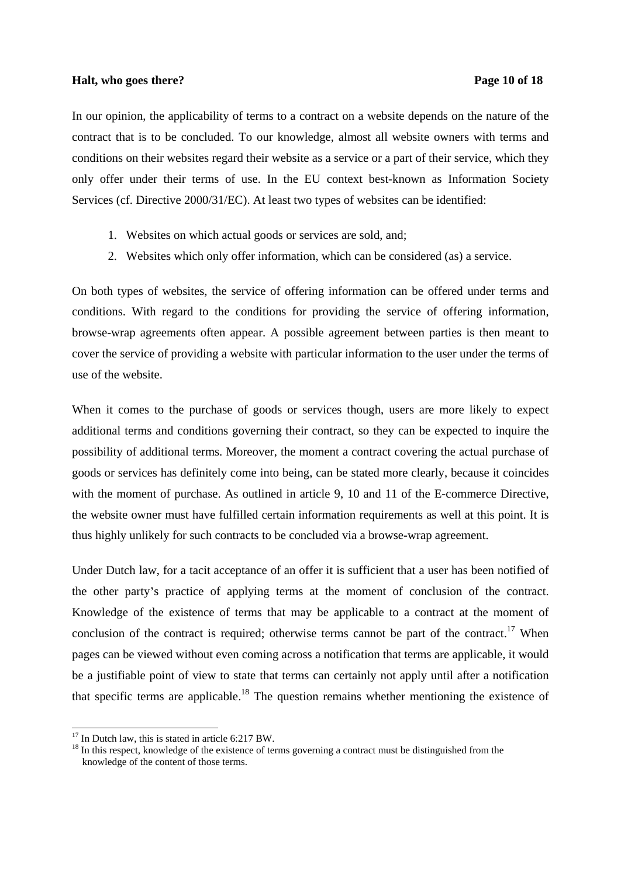## **Halt, who goes there?** Page 10 of 18

In our opinion, the applicability of terms to a contract on a website depends on the nature of the contract that is to be concluded. To our knowledge, almost all website owners with terms and conditions on their websites regard their website as a service or a part of their service, which they only offer under their terms of use. In the EU context best-known as Information Society Services (cf. Directive 2000/31/EC). At least two types of websites can be identified:

- 1. Websites on which actual goods or services are sold, and;
- 2. Websites which only offer information, which can be considered (as) a service.

On both types of websites, the service of offering information can be offered under terms and conditions. With regard to the conditions for providing the service of offering information, browse-wrap agreements often appear. A possible agreement between parties is then meant to cover the service of providing a website with particular information to the user under the terms of use of the website.

When it comes to the purchase of goods or services though, users are more likely to expect additional terms and conditions governing their contract, so they can be expected to inquire the possibility of additional terms. Moreover, the moment a contract covering the actual purchase of goods or services has definitely come into being, can be stated more clearly, because it coincides with the moment of purchase. As outlined in article 9, 10 and 11 of the E-commerce Directive, the website owner must have fulfilled certain information requirements as well at this point. It is thus highly unlikely for such contracts to be concluded via a browse-wrap agreement.

Under Dutch law, for a tacit acceptance of an offer it is sufficient that a user has been notified of the other party s practice of applying terms at the moment of conclusion of the contract. Knowledge of the existence of terms that may be applicable to a contract at the moment of conclusion of the contract is required; otherwise terms cannot be part of the contract.<sup>17</sup> When pages can be viewed without even coming across a notification that terms are applicable, it would be a justifiable point of view to state that terms can certainly not apply until after a notification that specific terms are applicable.<sup>18</sup> The question remains whether mentioning the existence of

<sup>&</sup>lt;sup>17</sup> In Dutch law, this is stated in article 6:217 BW.<br><sup>18</sup> In this respect, knowledge of the existence of terms governing a contract must be distinguished from the knowledge of the content of those terms.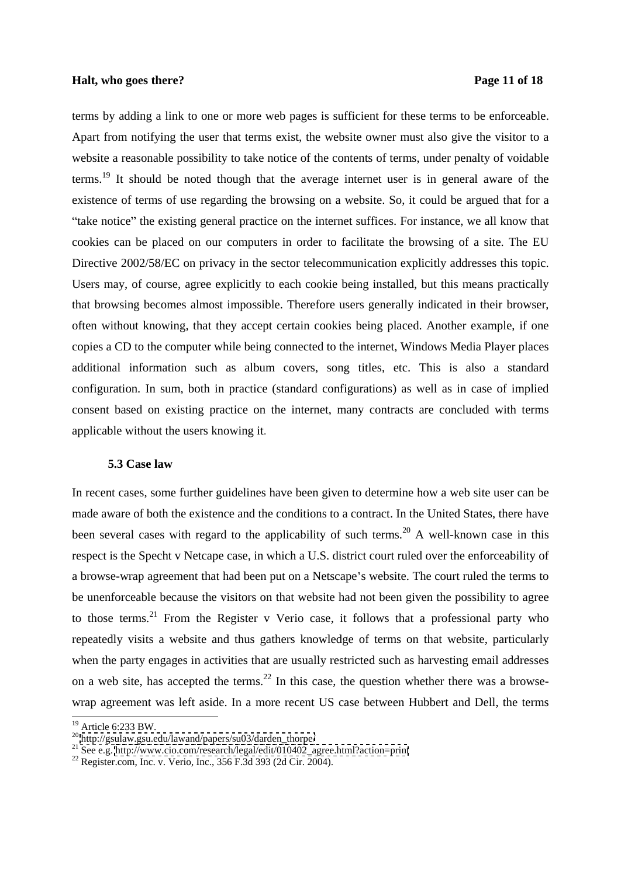## **Halt, who goes there?** Page 11 of 18

terms by adding a link to one or more web pages is sufficient for these terms to be enforceable. Apart from notifying the user that terms exist, the website owner must also give the visitor to a website a reasonable possibility to take notice of the contents of terms, under penalty of voidable terms.<sup>19</sup> It should be noted though that the average internet user is in general aware of the existence of terms of use regarding the browsing on a website. So, it could be argued that for a "take notice" the existing general practice on the internet suffices. For instance, we all know that cookies can be placed on our computers in order to facilitate the browsing of a site. The EU Directive 2002/58/EC on privacy in the sector telecommunication explicitly addresses this topic. Users may, of course, agree explicitly to each cookie being installed, but this means practically that browsing becomes almost impossible.Therefore users generally indicated in their browser, often without knowing, that they accept certain cookies being placed. Another example, if one copies a CD to the computer while being connected to the internet, Windows Media Player places additional information such as album covers, song titles, etc. This is also a standard configuration. In sum, both in practice (standard configurations) as well as in case of implied consent based on existing practice on the internet, many contracts are concluded with terms applicable without the users knowing it.

### **5.3 Case law**

In recent cases, some further guidelines have been given to determine how a web site user can be made aware of both the existence and the conditions to a contract. In the United States, there have been several cases with regard to the applicability of such terms.<sup>20</sup> A well-known case in this respect is the Specht v Netcape case, in which a U.S. district court ruled over the enforceability of a browse-wrap agreement that had been put on a Netscape's website. The court ruled the terms to be unenforceable because the visitors on that website had not been given the possibility to agree to those terms.<sup>21</sup> From the Register v Verio case, it follows that a professional party who repeatedly visits a website and thus gathers knowledge of terms on that website, particularly when the party engages in activities that are usually restricted such as harvesting email addresses on a web site, has accepted the terms.<sup>22</sup> In this case, the question whether there was a browsewrap agreement was left aside. In a more recent US case between Hubbert and Dell, the terms

<sup>&</sup>lt;sup>19</sup> Article 6:233 BW.<br><sup>20</sup> [http://gsulaw.gsu.edu/lawand/papers/su03/darden\\_thorpe/](http://gsulaw.gsu.edu/lawand/papers/su03/darden_thorpe/)<br><sup>21</sup> See e.g. [http://www.cio.com/research/legal/edit/010402\\_agree.html?action=print](http://www.cio.com/research/legal/edit/010402_agree.html?action=print)<br><sup>22</sup> Register.com, Inc. v. Verio, Inc., 356 F.3d 393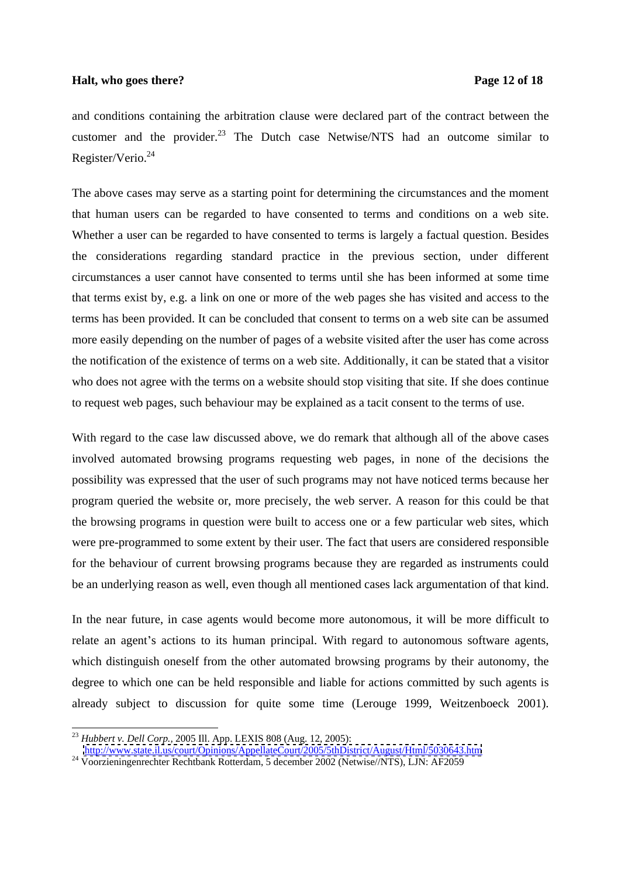## **Halt, who goes there?** Page 12 of 18

and conditions containing the arbitration clause were declared part of the contract between the customer and the provider.<sup>23</sup> The Dutch case Netwise/NTS had an outcome similar to  $\text{Register/Verio.}^{24}$ 

The above cases may serve as a starting point for determining the circumstances and the moment that human users can be regarded to have consented to terms and conditions on a web site. Whether a user can be regarded to have consented to terms is largely a factual question. Besides the considerations regarding standard practice in the previous section, under different circumstances a user cannot have consented to terms until she has been informed at some time that terms exist by, e.g. a link on one or more of the web pages she has visited and access to the terms has been provided. It can be concluded that consent to terms on a web site can be assumed more easily depending on the number of pages of a website visited after the user has come across the notification of the existence of terms on a web site. Additionally, it can be stated that a visitor who does not agree with the terms on a website should stop visiting that site. If she does continue to request web pages, such behaviour may be explained as a tacit consent to the terms of use.

With regard to the case law discussed above, we do remark that although all of the above cases involved automated browsing programs requesting web pages, in none of the decisions the possibility was expressed that the user of such programs may not have noticed terms because her program queried the website or, more precisely, the web server. A reason for this could be that the browsing programs in question were built to access one or a few particular web sites, which were pre-programmed to some extent by their user. The fact that users are considered responsible for the behaviour of current browsing programs because they are regarded as instruments could be an underlying reason as well, even though all mentioned cases lack argumentation of that kind.

In the near future, in case agents would become more autonomous, it will be more difficult to relate an agent's actions to its human principal. With regard to autonomous software agents, which distinguish oneself from the other automated browsing programs by their autonomy, the degree to which one can be held responsible and liable for actions committed by such agents is already subject to discussion for quite some time (Lerouge 1999, Weitzenboeck 2001).

<sup>23</sup> *Hubbert v. Dell Corp.,* 2005 Ill. App. LEXIS 808 (Aug. 12, 2005):

<http://www.state.il.us/court/Opinions/AppellateCourt/2005/5thDistrict/August/Html/5030643.htm>

<sup>&</sup>lt;sup>24</sup> Voorzieningenrechter Rechtbank Rotterdam, 5 december 2002 (Netwise//NTS), LJN: AF2059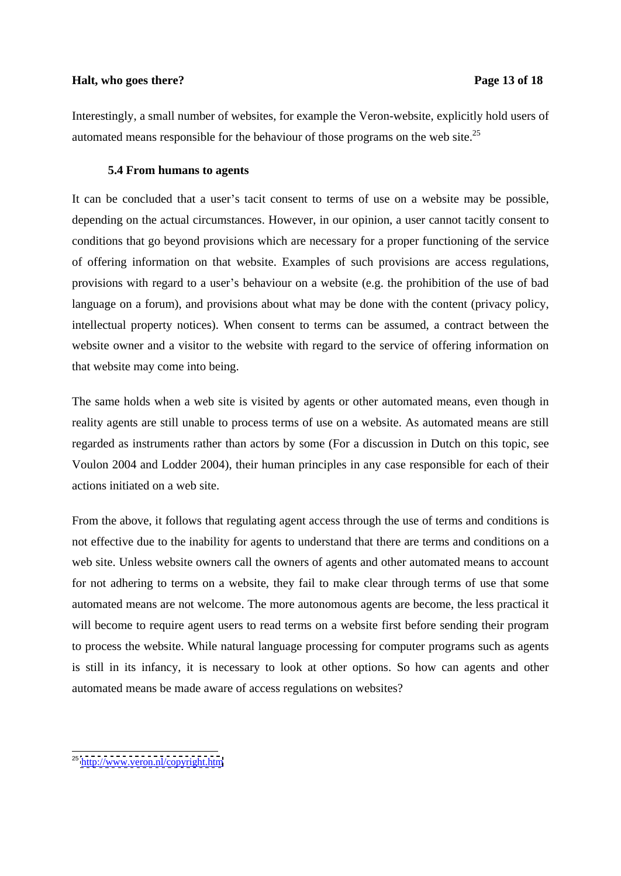## **Halt, who goes there?** Page 13 of 18

Interestingly, a small number of websites, for example the Veron-website, explicitly hold users of automated means responsible for the behaviour of those programs on the web site.<sup>25</sup>

## **5.4 From humans to agents**

It can be concluded that a user's tacit consent to terms of use on a website may be possible, depending on the actual circumstances. However, in our opinion, a user cannot tacitly consent to conditions that go beyond provisions which are necessary for a proper functioning of the service of offering information on that website. Examples of such provisions are access regulations, provisions with regard to a user's behaviour on a website (e.g. the prohibition of the use of bad language on a forum), and provisions about what may be done with the content (privacy policy, intellectual property notices). When consent to terms can be assumed, a contract between the website owner and a visitor to the website with regard to the service of offering information on that website may come into being.

The same holds when a web site is visited by agents or other automated means, even though in reality agents are still unable to process terms of use on a website. As automated means are still regarded as instruments rather than actors by some (For a discussion in Dutch on this topic, see Voulon 2004 and Lodder 2004), their human principles in any case responsible for each of their actions initiated on a web site.

From the above, it follows that regulating agent access through the use of terms and conditions is not effective due to the inability for agents to understand that there are terms and conditions on a web site. Unless website owners call the owners of agents and other automated means to account for not adhering to terms on a website, they fail to make clear through terms of use that some automated means are not welcome. The more autonomous agents are become, the less practical it will become to require agent users to read terms on a website first before sending their program to process the website. While natural language processing forcomputer programs such as agents is still in its infancy, it is necessary to look at other options. So how can agents and other automated means be made aware of access regulations on websites?

<sup>&</sup>lt;sup>25</sup> <http://www.veron.nl/copyright.htm>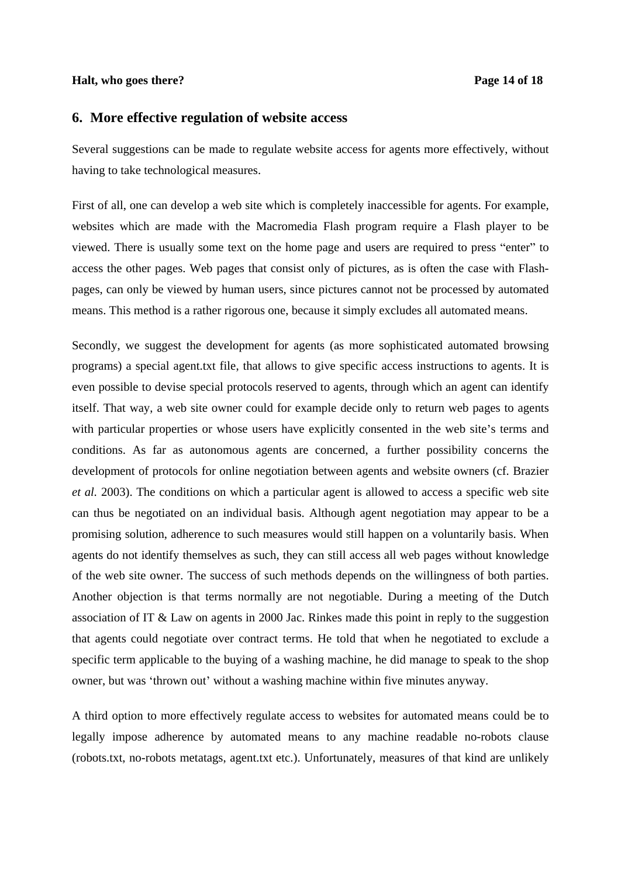## **Halt, who goes there?** Page 14 of 18

# **6. More effective regulation of website access**

Several suggestions can be made to regulate website access for agents more effectively, without having to take technological measures.

First of all, one can develop a web site which is completely inaccessible for agents. For example, websites which are made with the Macromedia Flash program require a Flash player to be viewed. There is usually some text on the home page and users are required to press "enter" to access the other pages. Web pages that consist only of pictures, as is often the case with Flash pages, can only be viewed by human users, since pictures cannot not be processed by automated means. This method is a rather rigorous one, because it simply excludes all automated means.

Secondly, we suggest the development for agents (as more sophisticated automated browsing programs) a special agent.txt file, that allows to give specific access instructions to agents. It is even possible to devise special protocols reserved to agents, through which an agent can identify itself. That way, a web site owner could for example decide only to return web pages to agents with particular properties or whose users have explicitly consented in the web site's terms and conditions. As far as autonomous agents are concerned, a further possibility concerns the development of protocols for online negotiation between agents and website owners (cf. Brazier *et al.* 2003). The conditions on which a particular agent is allowed to access a specific web site can thus be negotiated on an individual basis. Although agent negotiation may appear to be a promising solution, adherence to such measures would still happen on a voluntarily basis. When agents do not identify themselves as such, they can still access all web pages without knowledge of the web site owner. The success of such methods depends on the willingness of both parties. Another objection is that terms normally are not negotiable. During a meeting of the Dutch association of IT & Law on agents in 2000 Jac. Rinkes made this point in reply to the suggestion that agents could negotiate over contract terms. He told that when he negotiated to exclude a specific term applicable to the buying of a washing machine, he did manage to speak to the shop owner, but was 'thrown out' without a washing machine within five minutes anyway.

A third option to more effectively regulate access to websites for automated means could be to legally impose adherence by automated means to any machine readable no-robots clause (robots.txt, no-robots metatags, agent.txt etc.). Unfortunately, measures of that kind are unlikely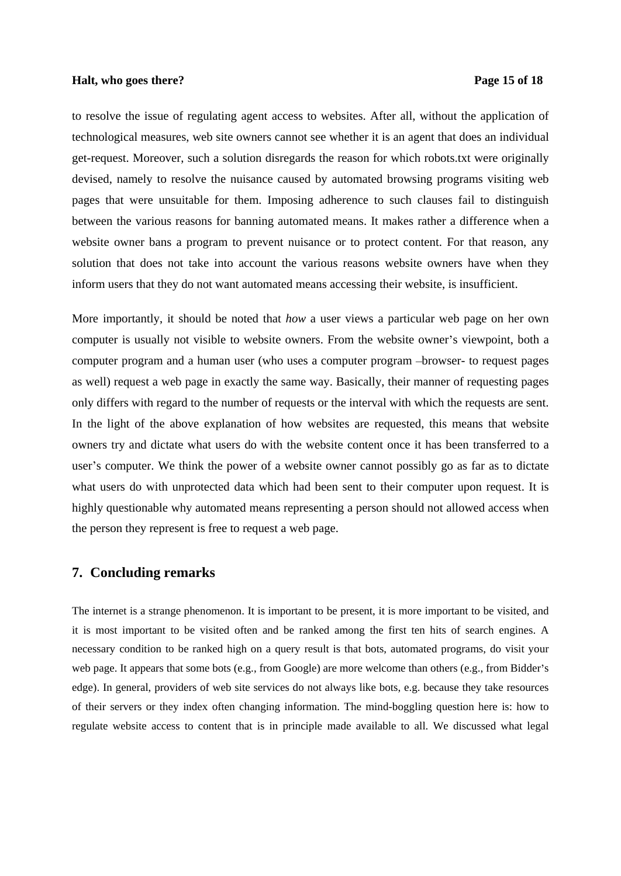## **Halt, who goes there?** Page 15 of 18

to resolve the issue of regulating agent access to websites. After all, without the application of technological measures, web site owners cannot see whether it is an agent that does an individual get-request. Moreover, such a solution disregards the reason for which robots.txt were originally devised, namely to resolve the nuisance caused by automated browsing programs visiting web pages that were unsuitable for them. Imposing adherence to such clauses fail to distinguish between the various reasons for banning automated means. It makes rather a difference when a website owner bans a program to prevent nuisance or to protect content. For that reason, any solution that does not take into account the various reasons website owners have when they inform users that they do not want automated means accessing their website, is insufficient.

More importantly, it should be noted that *how* a user views a particular web page on her own computer is usually not visible to website owners. From the website owner's viewpoint, both a computer program and a human user (who uses a computer program -browser- to request pages as well) request a web page in exactly the same way. Basically, their manner of requesting pages only differs with regard to the number of requests or the interval with which the requests are sent. In the light of the above explanation of how websites are requested, this means that website owners try and dictate what users do with the website content once it has been transferred to a user's computer. We think the power of a website owner cannot possibly go as far as to dictate what users do with unprotected data which had been sent to their computer upon request. It is highly questionable why automated means representing a person should not allowed access when the person they represent is free to request a web page.

## **7. Concluding remarks**

The internet is a strange phenomenon. It is important to be present, it is more important to be visited, and it is most important to be visited often and be ranked among the first ten hits of search engines. A necessary condition to be ranked high on a query result is that bots, automated programs, do visit your web page. It appears that some bots (e.g., from Google) are more welcome than others (e.g., from Bidder's edge). In general, providers of web site services do not always like bots, e.g. because they take resources of their servers or they index often changing information. The mind-boggling question here is: how to regulate website access to content that is in principle made available to all. We discussed what legal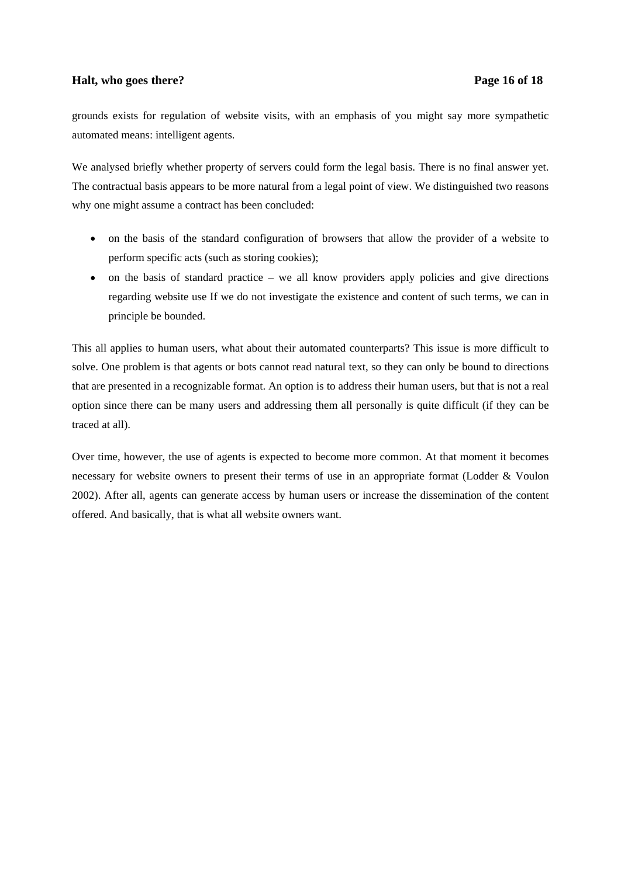## **Halt, who goes there?** Page 16 of 18

grounds exists for regulation of website visits, with an emphasisof you might say more sympathetic automated means: intelligent agents.

We analysed briefly whether property of servers could form the legal basis. There is no final answer yet. The contractual basis appears to be more natural from a legal point of view. We distinguished two reasons why one might assume a contract has been concluded:

- on the basis of the standard configuration of browsers that allow the provider of a website to perform specific acts (such as storing cookies);
- $\bullet$  on the basis of standard practice we all know providers apply policies and give directions regarding website use If we do not investigate the existence and content of such terms, wecan in principle be bounded.

This all applies to human users, what about their automated counterparts? This issue is more difficult to solve. One problem is that agents or bots cannot read natural text, so they can only be bound to directions that are presented in a recognizable format. An option is to address their human users, but that is not a real option since there can be many users and addressing them all personally is quite difficult(if they can be traced at all).

Over time, however, the use of agents is expected to become more common. At that moment it becomes necessary for website owners to present their terms of use in an appropriate format (Lodder & Voulon 2002). After all, agents can generate access by human users or increase the dissemination of the content offered. And basically, that is what all website owners want.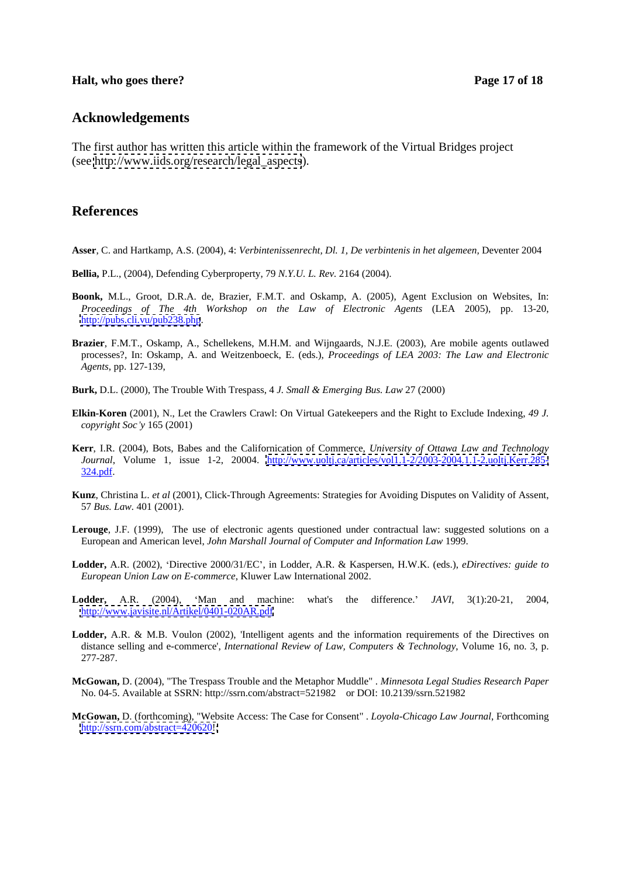## **Halt, who goes there?** Page 17 of 18

## **Acknowledgements**

The first author has written this article within the framework of the Virtual Bridges project (see [http://www.iids.org/research/legal\\_aspects](http://www.iids.org/research/legal_aspects)).

# **References**

**Asser**, C. and Hartkamp, A.S. (2004), 4: *Verbintenissenrecht, Dl. 1, De verbintenis in het algemeen,* Deventer 2004

- **Bellia,** P.L., (2004), Defending Cyberproperty, 79 *N.Y.U. L. Rev.* 2164 (2004).
- **Boonk,** M.L., Groot, D.R.A. de, Brazier, F.M.T. and Oskamp, A. (2005), Agent Exclusion on Websites, In: *Proceedings of The 4th Workshop on the Law of Electronic Agents* (LEA 2005), pp. 13-20, <http://pubs.cli.vu/pub238.php>.
- **Brazier**, F.M.T., Oskamp, A., Schellekens, M.H.M. and Wijngaards, N.J.E. (2003), Are mobile agents outlawed processes?, In: Oskamp, A. and Weitzenboeck, E. (eds.), *Proceedings of LEA 2003: The Law and Electronic Agents*, pp. 127-139,
- **Burk,** D.L. (2000), The Trouble With Trespass, 4 *J. Small & Emerging Bus. Law* 27 (2000)
- **Elkin-Koren** (2001), N., Let the Crawlers Crawl: On Virtual Gatekeepers and the Right to Exclude Indexing, *49 J. copyright Soc y* 165 (2001)
- **Kerr**, I.R. (2004), Bots, Babes and the Californication of Commerce, *University of Ottawa Law and Technology Journal*, Volume 1, issue 1-2, 20004. <http://www.uoltj.ca/articles/vol1.1-2/2003-2004.1.1-2.uoltj.Kerr.285->324.pdf.  $324.pdf.$
- **Kunz**, Christina L. *et al* (2001), Click-Through Agreements: Strategies for Avoiding Disputes on Validity of Assent, 57 *Bus. Law.* 401 (2001).
- **Lerouge**, J.F. (1999), The use of electronic agents questioned under contractual law: suggested solutions on a European and American level, *John Marshall Journal of Computer and Information Law* 1999.
- **Lodder,** A.R. (2002), Directive 2000/31/EC , in Lodder, A.R. & Kaspersen, H.W.K. (eds.), *eDirectives: guide to European Union Law on E-commerce*, Kluwer Law International 2002.
- **Lodder,** A.R. (2004), Man and machine: what's the difference. *JAVI*, 3(1):20-21, 2004, <http://www.javisite.nl/Artikel/0401-020AR.pdf>
- **Lodder,** A.R. & M.B. Voulon (2002), 'Intelligent agents and the information requirements of the Directives on distance selling and e-commerce', *International Review of Law, Computers & Technology*, Volume 16, no.3, p. 277-287.
- **McGowan,** D. (2004), "The Trespass Trouble and the Metaphor Muddle" . *Minnesota Legal Studies Research Paper*  No. 04-5. Available at SSRN: http://ssrn.com/abstract=521982 or DOI: 10.2139/ssrn.521982
- **McGowan,** D. (forthcoming), "Website Access: The Case for Consent" . *Loyola-Chicago Law Journal*, Forthcoming <http://ssrn.com/abstract=420620!;>